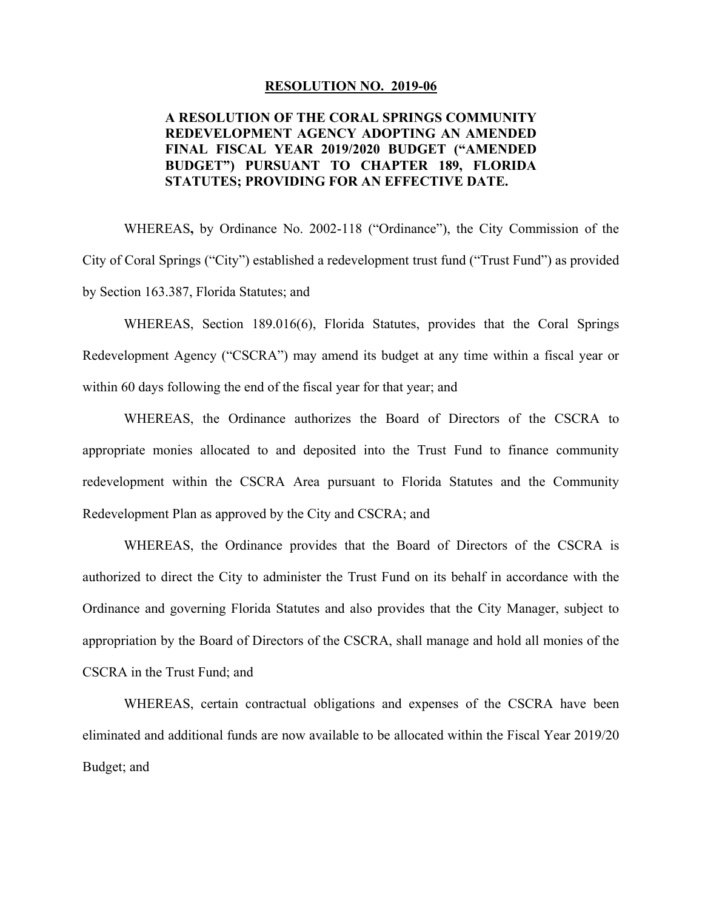#### **RESOLUTION NO.\_2019-06**

### **REDEVELOPMENT AGENCY ADOPTING AN AMENDED FINAL FISCAL YEAR 2019/2020 BUDGET ("AMENDED A RESOLUTION OF THE CORAL SPRINGS COMMUNITY BUDGET") PURSUANT TO CHAPTER 189, FLORIDA STATUTES; PROVIDING FOR AN EFFECTIVE DATE.**

WHEREAS**,** by Ordinance No. 2002-118 ("Ordinance"), the City Commission of the City of Coral Springs ("City") established a redevelopment trust fund ("Trust Fund") as provided by Section 163.387, Florida Statutes; and

 Redevelopment Agency ("CSCRA") may amend its budget at any time within a fiscal year or WHEREAS, Section 189.016(6), Florida Statutes, provides that the Coral Springs within 60 days following the end of the fiscal year for that year; and

 appropriate monies allocated to and deposited into the Trust Fund to finance community WHEREAS, the Ordinance authorizes the Board of Directors of the CSCRA to redevelopment within the CSCRA Area pursuant to Florida Statutes and the Community Redevelopment Plan as approved by the City and CSCRA; and

 Ordinance and governing Florida Statutes and also provides that the City Manager, subject to WHEREAS, the Ordinance provides that the Board of Directors of the CSCRA is authorized to direct the City to administer the Trust Fund on its behalf in accordance with the appropriation by the Board of Directors of the CSCRA, shall manage and hold all monies of the CSCRA in the Trust Fund; and

WHEREAS, certain contractual obligations and expenses of the CSCRA have been eliminated and additional funds are now available to be allocated within the Fiscal Year 2019/20 Budget; and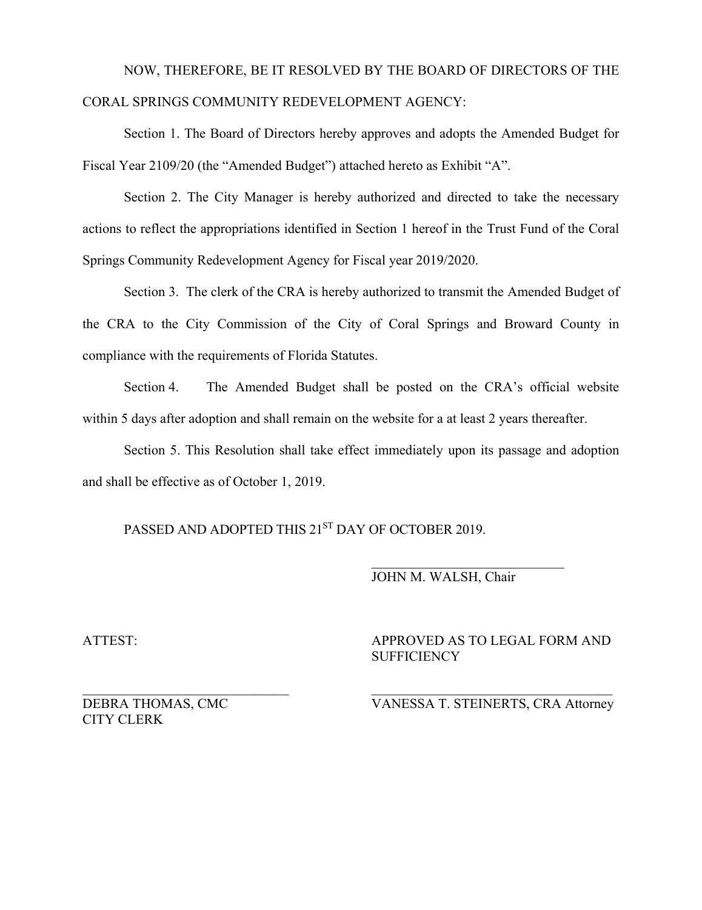# NOW, THEREFORE, BE IT RESOLVED BY THE BOARD OF DIRECTORS OF THE CORAL SPRINGS COMMUNITY REDEVELOPMENT AGENCY:

Section 1. The Board of Directors hereby approves and adopts the Amended Budget for Fiscal Year 2109/20 (the "Amended Budget") attached hereto as Exhibit "A".

Section 2. The City Manager is hereby authorized and directed to take the necessary actions to reflect the appropriations identified in Section 1 hereof in the Trust Fund of the Coral Springs Community Redevelopment Agency for Fiscal year 2019/2020.

 Section 3. The clerk of the CRA is hereby authorized to transmit the Amended Budget of the CRA to the City Commission of the City of Coral Springs and Broward County in compliance with the requirements of Florida Statutes.

Section 4. The Amended Budget shall be posted on the CRA's official website within 5 days after adoption and shall remain on the website for a at least 2 years thereafter.

Section 5. This Resolution shall take effect immediately upon its passage and adoption and shall be effective as of October 1, 2019.

PASSED AND ADOPTED THIS 21<sup>ST</sup> DAY OF OCTOBER 2019.

### \_\_\_\_\_\_\_\_\_\_\_\_\_\_\_\_\_\_\_\_\_\_\_\_\_\_\_\_ JOHN M. WALSH, Chair

ATTEST:

APPROVED AS TO LEGAL FORM AND **SUFFICIENCY** 

DEBRA THOMAS, CMC CITY CLERK

 $\frac{1}{2}$  ,  $\frac{1}{2}$  ,  $\frac{1}{2}$  ,  $\frac{1}{2}$  ,  $\frac{1}{2}$  ,  $\frac{1}{2}$  ,  $\frac{1}{2}$  ,  $\frac{1}{2}$  ,  $\frac{1}{2}$  ,  $\frac{1}{2}$  ,  $\frac{1}{2}$  ,  $\frac{1}{2}$  ,  $\frac{1}{2}$  ,  $\frac{1}{2}$  ,  $\frac{1}{2}$  ,  $\frac{1}{2}$  ,  $\frac{1}{2}$  ,  $\frac{1}{2}$  ,  $\frac{1$ VANESSA T. STEINERTS, CRA Attorney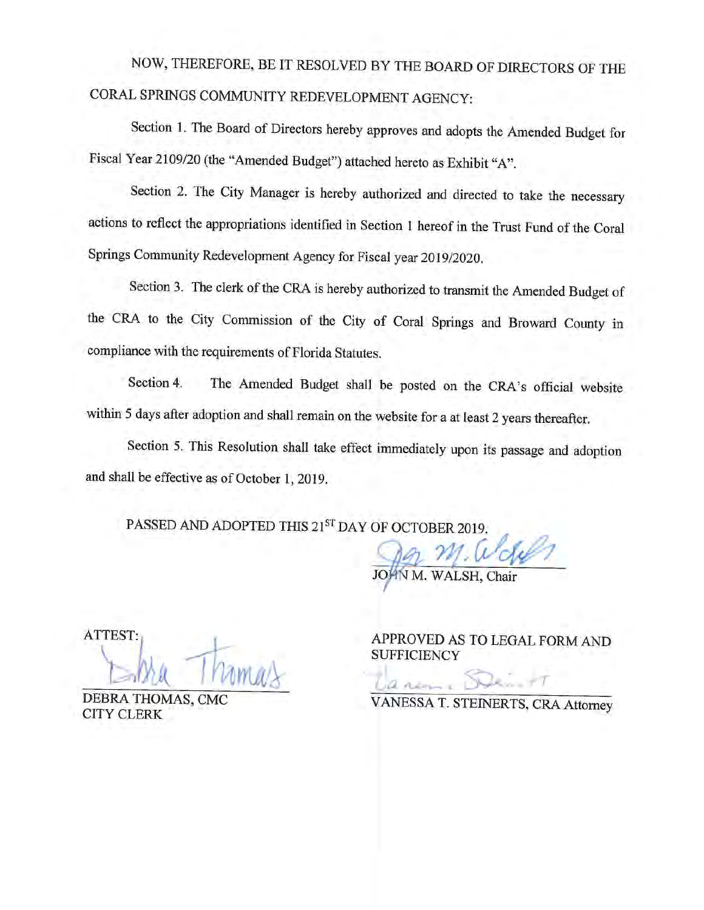# NOW, THEREFORE, BE IT RESOLVED BY THE BOARD OF DIRECTORS OF THE CORAL SPRINGS COMMUNITY REDEVELOPMENT AGENCY:

Section 1. The Board of Directors hereby approves and adopts the Amended Budget for Fiscal Year 2109/20 (the "Amended Budget") attached hereto as Exhibit "A".

Section 2. The City Manager is hereby authorized and directed to take the necessary actions to reflect the appropriations identified in Section 1 hereof in the Trust Fund of the Coral Springs Community Redevelopment Agency for Fiscal year 2019/2020.

Section 3. The clerk of the CRA is hereby authorized to transmit the Amended Budget of the CRA to the City Commission of the City of Coral Springs and Broward County in compliance with the requirements of Florida Statutes.

The Amended Budget shall be posted on the CRA's official website Section 4. within 5 days after adoption and shall remain on the website for a at least 2 years thereafter.

Section 5. This Resolution shall take effect immediately upon its passage and adoption and shall be effective as of October 1, 2019.

PASSED AND ADOPTED THIS 21ST DAY OF OCTOBER 2019.

WALSH, Chair

ATTEST:

DEBRA THOMAS, CMC **CITY CLERK** 

APPROVED AS TO LEGAL FORM AND **SUFFICIENCY** 

VANESSA T. STEINERTS, CRA Attorney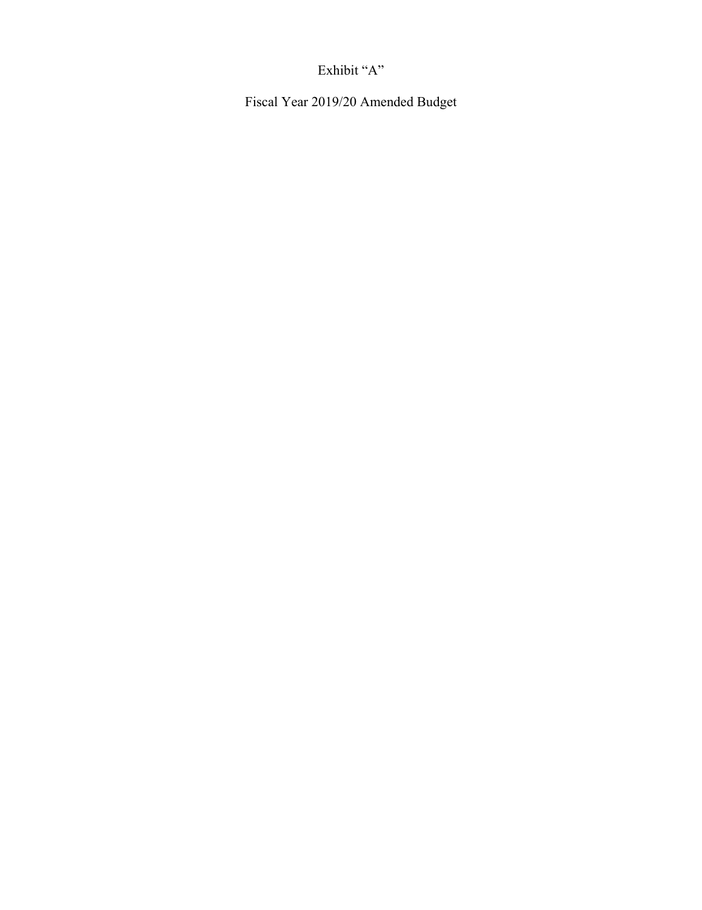## Exhibit "A"

Fiscal Year 2019/20 Amended Budget